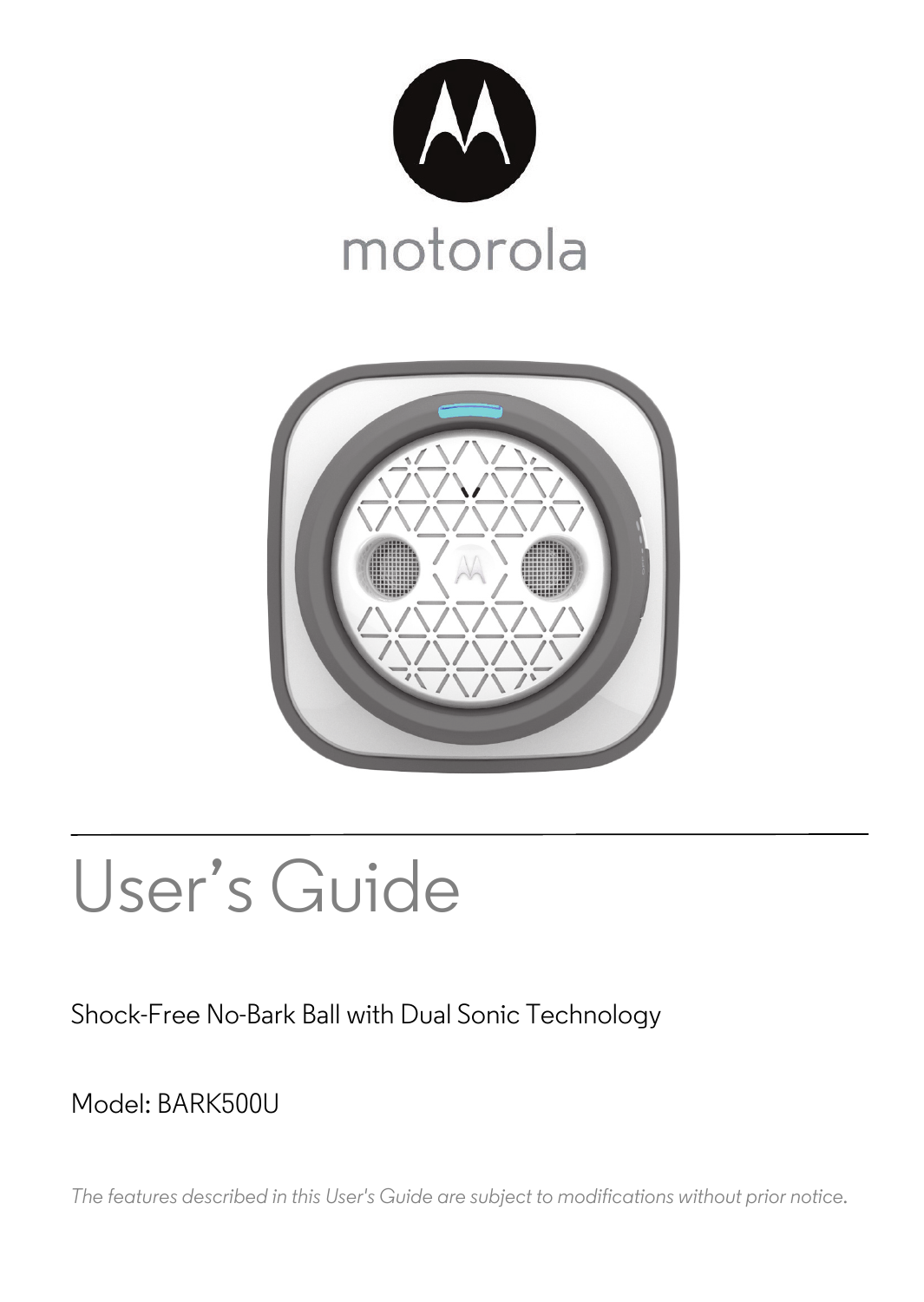



# User's Guide

### Shock-Free No-Bark Ball with Dual Sonic Technology

### Model: BARK500U

*The features described in this User's Guide are subject to modifications without prior notice.*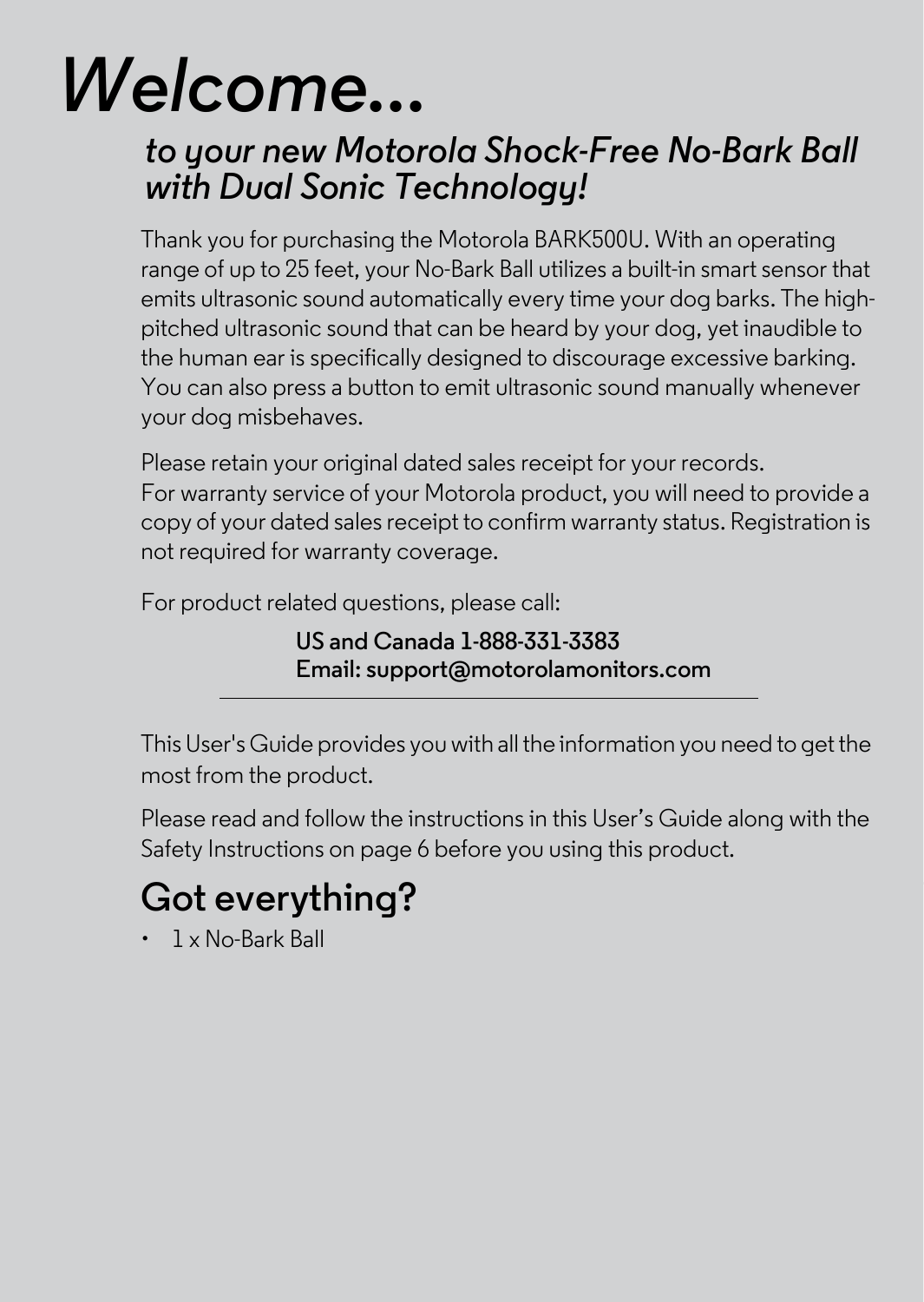# *Welcome...*

### *to your new Motorola Shock-Free No-Bark Ball with Dual Sonic Technology!*

Thank you for purchasing the Motorola BARK500U. With an operating range of up to 25 feet, your No-Bark Ball utilizes a built-in smart sensor that emits ultrasonic sound automatically every time your dog barks. The highpitched ultrasonic sound that can be heard by your dog, yet inaudible to the human ear is specifically designed to discourage excessive barking. You can also press a button to emit ultrasonic sound manually whenever your dog misbehaves.

Please retain your original dated sales receipt for your records. For warranty service of your Motorola product, you will need to provide a copy of your dated sales receipt to confirm warranty status. Registration is not required for warranty coverage.

For product related questions, please call:

**US and Canada 1-888-331-3383 Email: support@motorolamonitors.com**

This User's Guide provides you with all the information you need to get the most from the product.

Please read and follow the instructions in this User's Guide along with the Safety Instructions on page [6](#page-5-0) before you using this product.

# **Got everything?**

• 1 x No-Bark Ball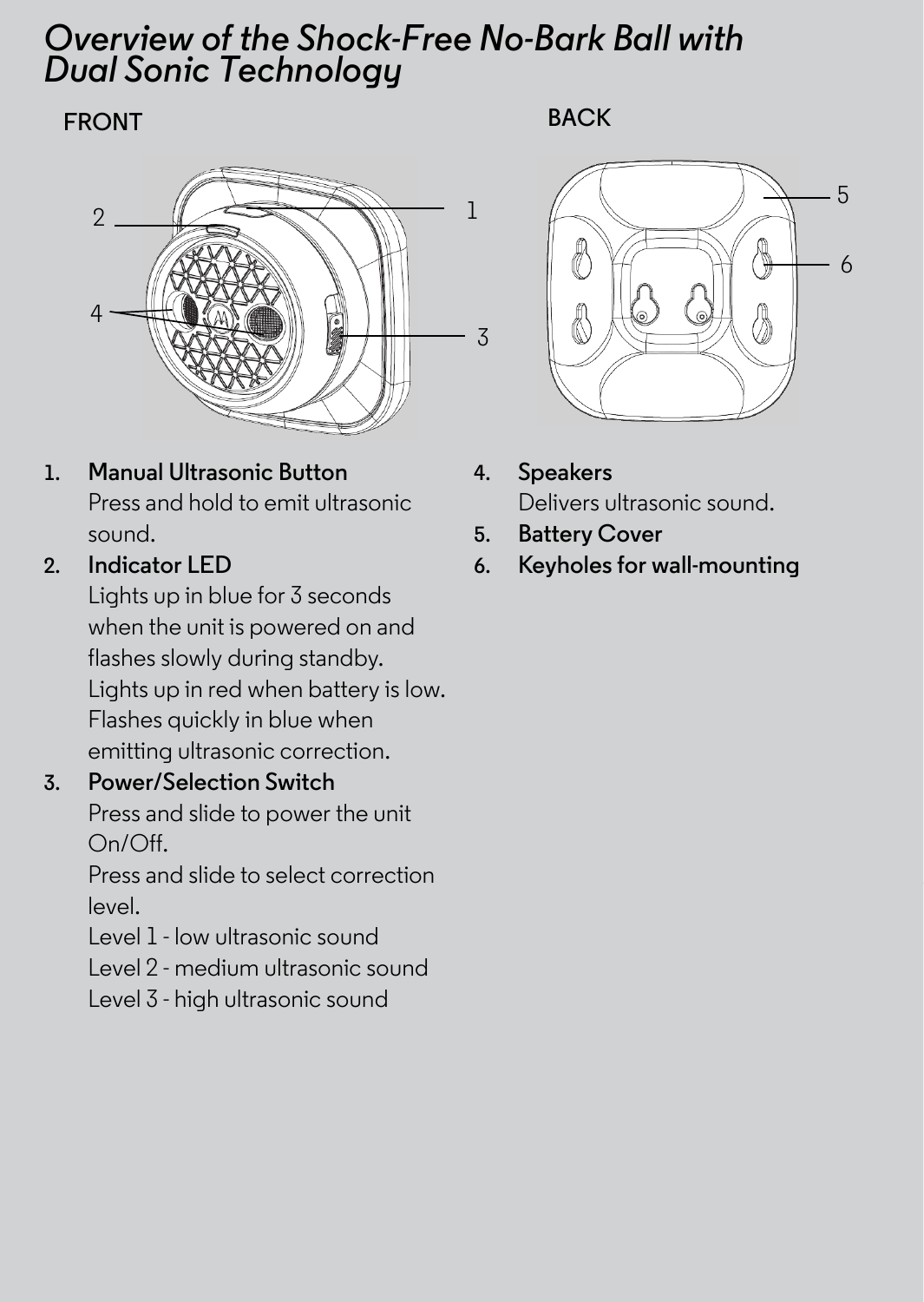### *Overview of the Shock-Free No-Bark Ball with Dual Sonic Technology*

### **FRONT BACK**



**1. Manual Ultrasonic Button** Press and hold to emit ultrasonic sound.

### **2. Indicator LED**

Lights up in blue for 3 seconds when the unit is powered on and flashes slowly during standby. Lights up in red when battery is low. Flashes quickly in blue when emitting ultrasonic correction.

### **3. Power/Selection Switch**

Press and slide to power the unit On/Off.

Press and slide to select correction level.

Level 1 - low ultrasonic sound

Level 2 - medium ultrasonic sound

Level 3 - high ultrasonic sound



- **4. Speakers** Delivers ultrasonic sound.
- **5. Battery Cover**
- **6. Keyholes for wall-mounting**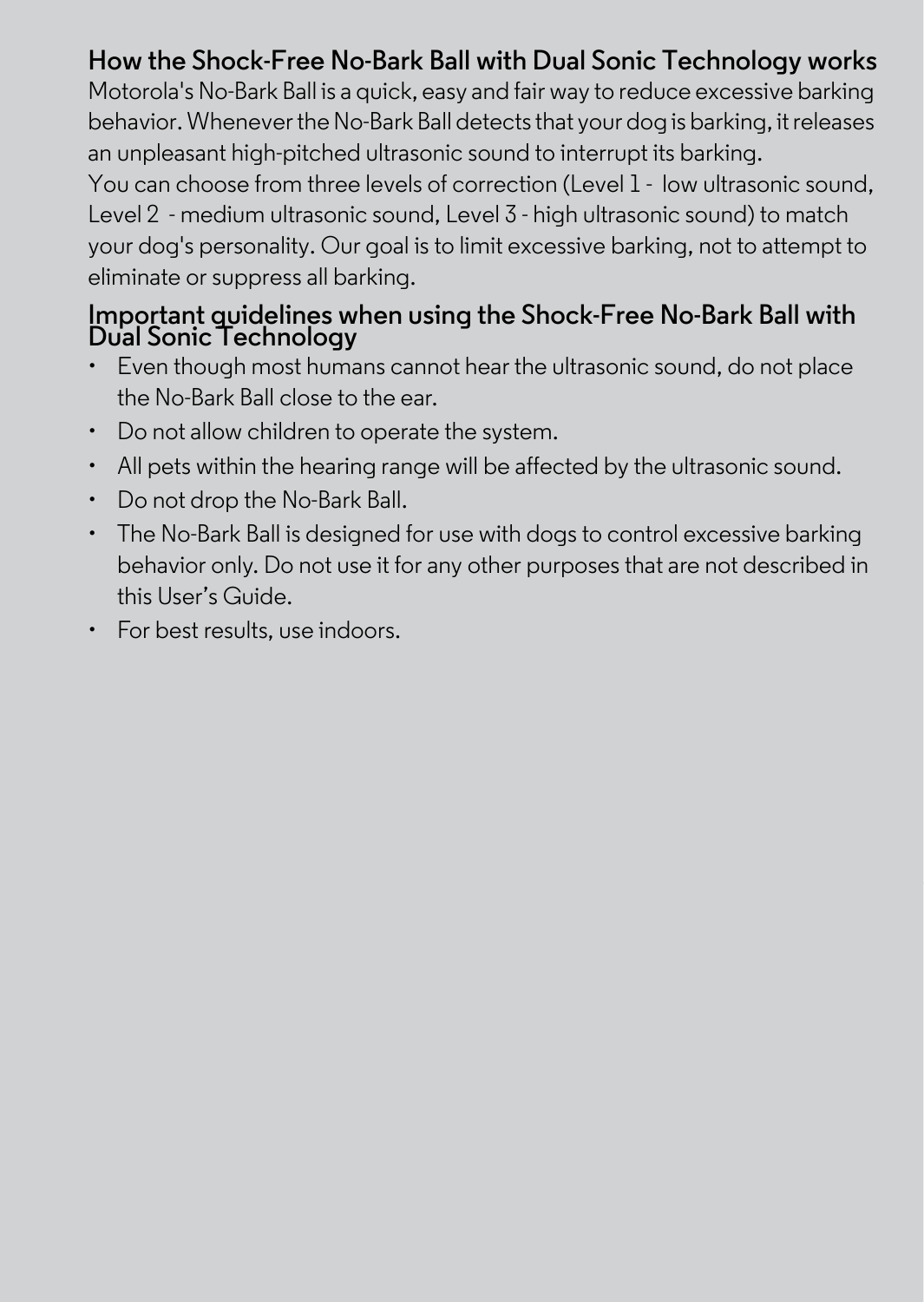### **How the Shock-Free No-Bark Ball with Dual Sonic Technology works**

Motorola's No-Bark Ball is a quick, easy and fair way to reduce excessive barking behavior. Whenever the No-Bark Ball detects that your dog is barking, it releases an unpleasant high-pitched ultrasonic sound to interrupt its barking.

You can choose from three levels of correction (Level 1 - low ultrasonic sound, Level 2 - medium ultrasonic sound, Level 3 - high ultrasonic sound) to match your dog's personality. Our goal is to limit excessive barking, not to attempt to eliminate or suppress all barking.

# **Important guidelines when using the Shock-Free No-Bark Ball with Dual Sonic Technology**

- Even though most humans cannot hear the ultrasonic sound, do not place the No-Bark Ball close to the ear.
- Do not allow children to operate the system.
- All pets within the hearing range will be affected by the ultrasonic sound.
- Do not drop the No-Bark Ball.
- The No-Bark Ball is designed for use with dogs to control excessive barking behavior only. Do not use it for any other purposes that are not described in this User's Guide.
- For best results, use indoors.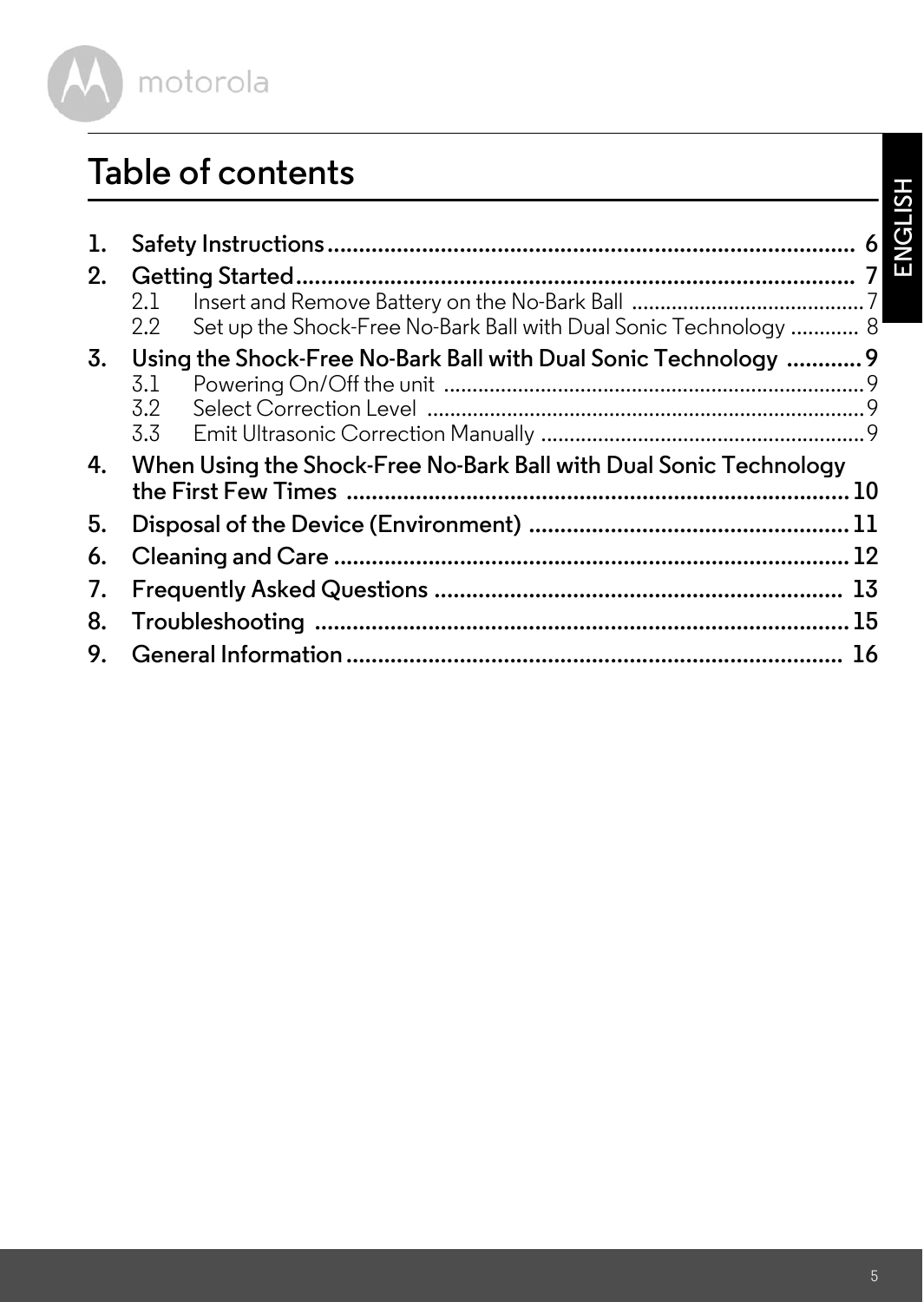

### **Table of contents**

| 1. |                                                                         |  |
|----|-------------------------------------------------------------------------|--|
| 2. |                                                                         |  |
|    | 2.1                                                                     |  |
|    | Set up the Shock-Free No-Bark Ball with Dual Sonic Technology  8<br>2.2 |  |
| 3. | Using the Shock-Free No-Bark Ball with Dual Sonic Technology  9         |  |
|    | 3.1                                                                     |  |
|    | 3.2                                                                     |  |
|    | 3.3                                                                     |  |
| 4. | When Using the Shock-Free No-Bark Ball with Dual Sonic Technology       |  |
|    | the First Few Times ………………………………………………………………………… 10                     |  |
| 5. |                                                                         |  |
| 6. |                                                                         |  |
| 7. |                                                                         |  |
| 8. |                                                                         |  |
| 9. |                                                                         |  |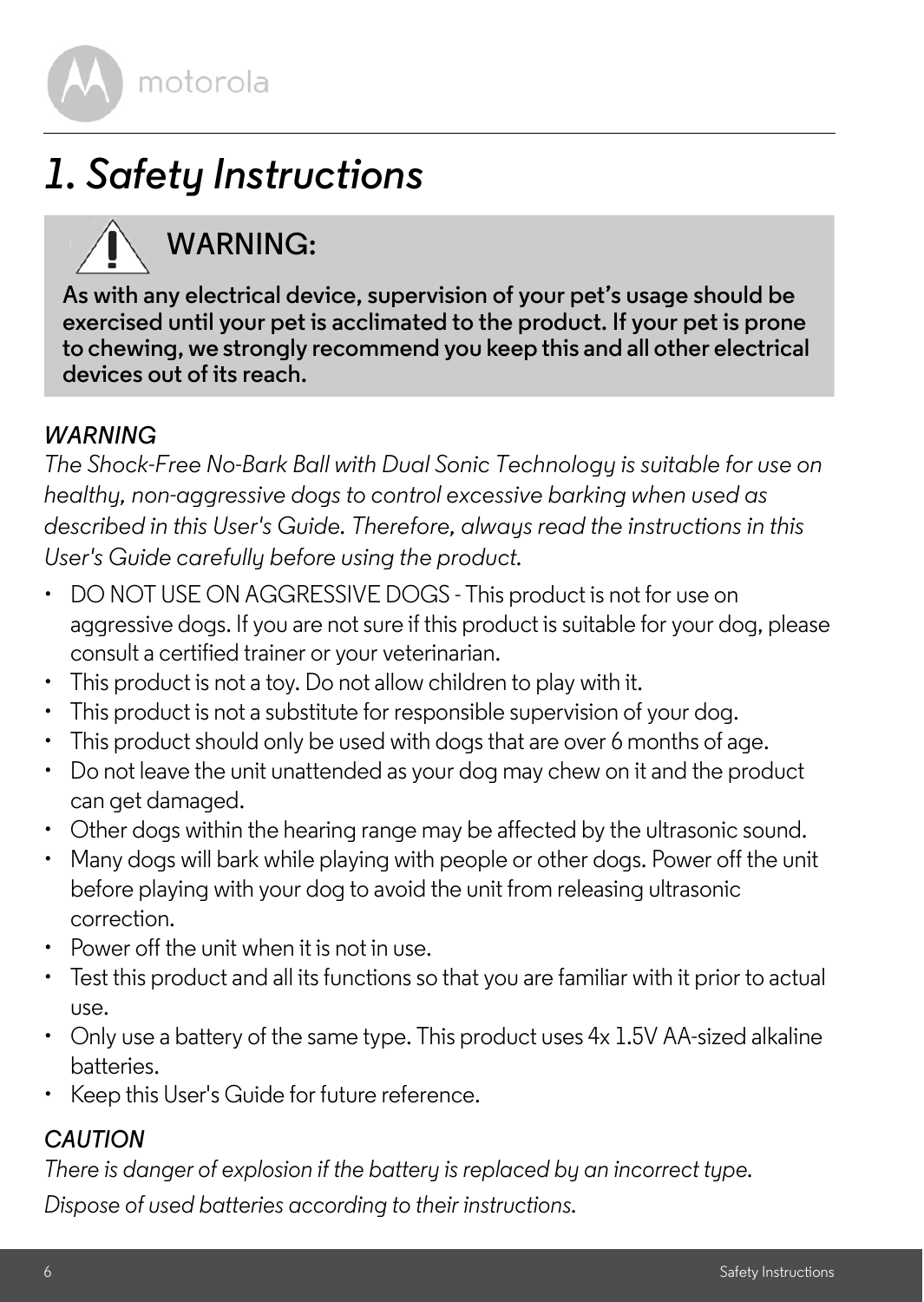

# <span id="page-5-1"></span><span id="page-5-0"></span>*1. Safety Instructions*

## **WARNING:**

**As with any electrical device, supervision of your pet's usage should be exercised until your pet is acclimated to the product. If your pet is prone to chewing, we strongly recommend you keep this and all other electrical devices out of its reach.** 

#### *WARNING*

*The Shock-Free No-Bark Ball with Dual Sonic Technology is suitable for use on healthy, non-aggressive dogs to control excessive barking when used as*  described in this User's Guide. Therefore, always read the instructions in this *User's Guide carefully before using the product.*

- DO NOT USE ON AGGRESSIVE DOGS This product is not for use on aggressive dogs. If you are not sure if this product is suitable for your dog, please consult a certified trainer or your veterinarian.
- This product is not a toy. Do not allow children to play with it.
- This product is not a substitute for responsible supervision of your dog.
- This product should only be used with dogs that are over 6 months of age.
- Do not leave the unit unattended as your dog may chew on it and the product can get damaged.
- Other dogs within the hearing range may be affected by the ultrasonic sound.
- Many dogs will bark while playing with people or other dogs. Power off the unit before playing with your dog to avoid the unit from releasing ultrasonic correction.
- Power off the unit when it is not in use.
- Test this product and all its functions so that you are familiar with it prior to actual use.
- Only use a battery of the same type. This product uses 4x 1.5V AA-sized alkaline batteries.
- Keep this User's Guide for future reference.

#### *CAUTION*

*There is danger of explosion if the battery is replaced by an incorrect type.*

*Dispose of used batteries according to their instructions.*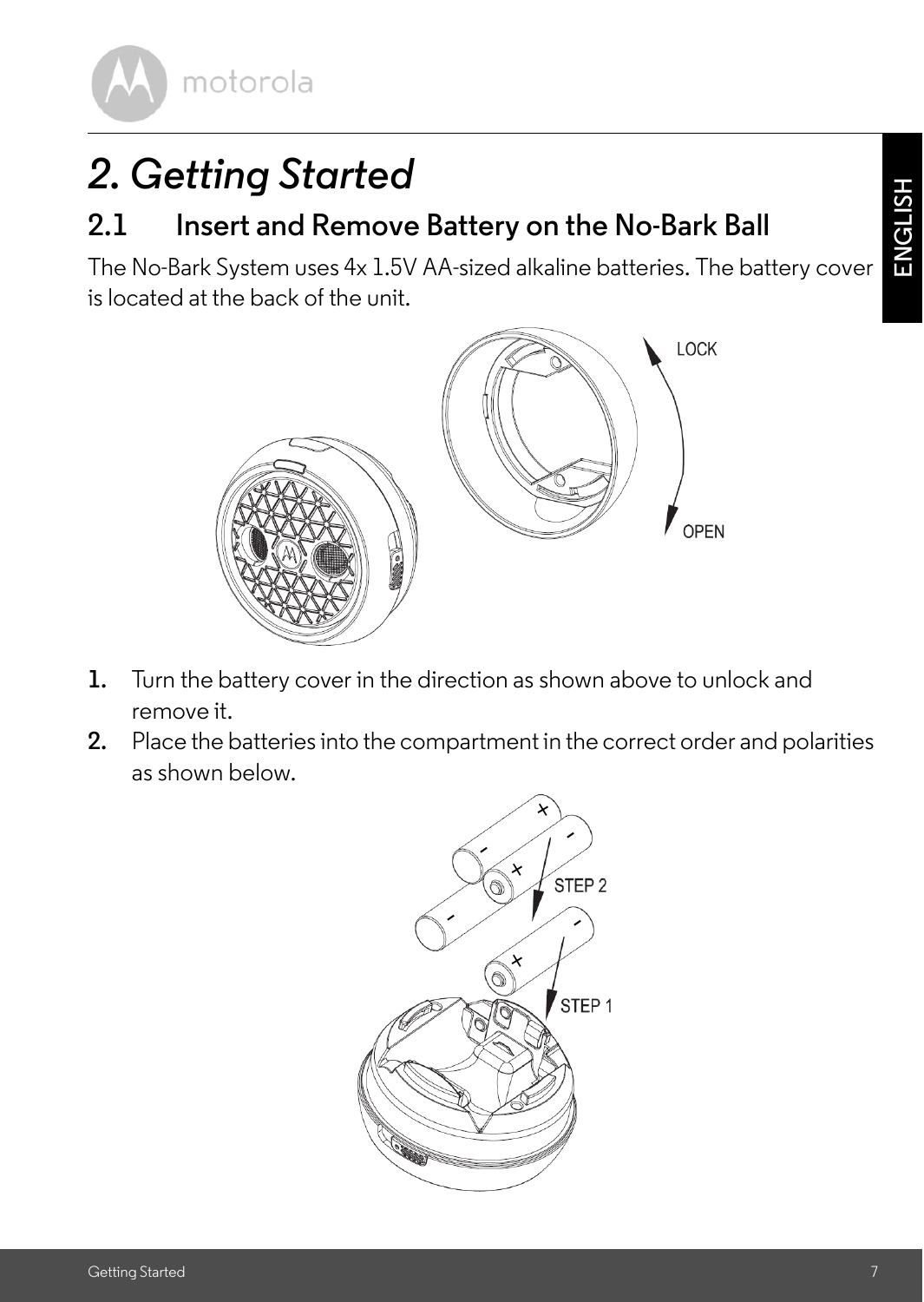motorola

# <span id="page-6-0"></span>*2. Getting Started*

### <span id="page-6-1"></span>**2.1 Insert and Remove Battery on the No-Bark Ball**

The No-Bark System uses 4x 1.5V AA-sized alkaline batteries. The battery cover is located at the back of the unit.



- **1.** Turn the battery cover in the direction as shown above to unlock and remove it.
- **2.** Place the batteries into the compartment in the correct order and polarities as shown below.

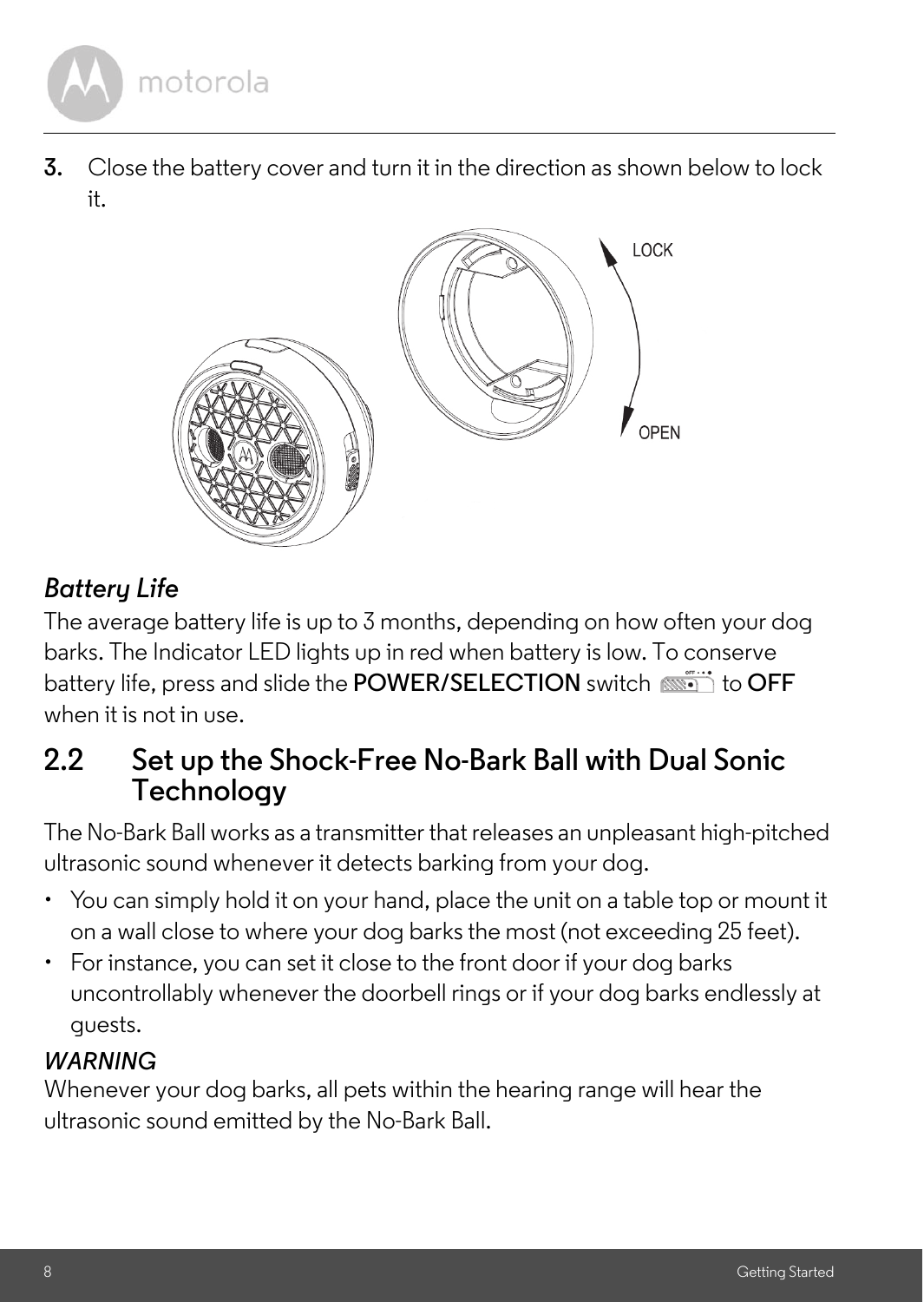

**3.** Close the battery cover and turn it in the direction as shown below to lock it.



### *Battery Life*

The average battery life is up to 3 months, depending on how often your dog barks. The Indicator LED lights up in red when battery is low. To conserve battery life, press and slide the **POWER/SELECTION** switch  $\overline{\text{min}}$  to **OFF** when it is not in use.

### <span id="page-7-0"></span>**2.2 Set up the Shock-Free No-Bark Ball with Dual Sonic Technology**

The No-Bark Ball works as a transmitter that releases an unpleasant high-pitched ultrasonic sound whenever it detects barking from your dog.

- You can simply hold it on your hand, place the unit on a table top or mount it on a wall close to where your dog barks the most (not exceeding 25 feet).
- For instance, you can set it close to the front door if your dog barks uncontrollably whenever the doorbell rings or if your dog barks endlessly at guests.

#### *WARNING*

Whenever your dog barks, all pets within the hearing range will hear the ultrasonic sound emitted by the No-Bark Ball.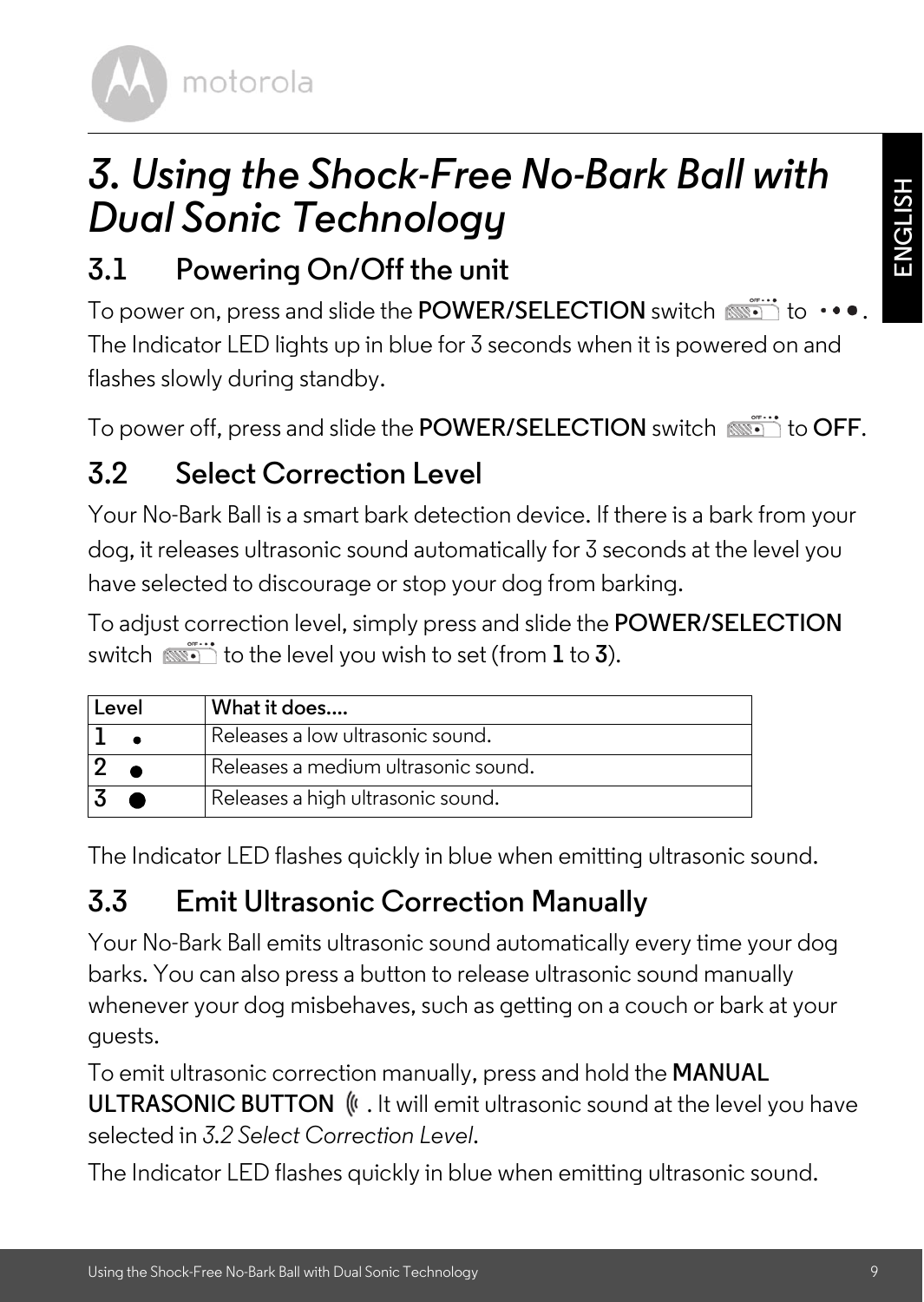**ENGLISH**

motorola

## <span id="page-8-0"></span>*3. Using the Shock-Free No-Bark Ball with Dual Sonic Technology*

### <span id="page-8-1"></span>**3.1 Powering On/Off the unit**

To power on, press and slide the **POWER/SELECTION** switch  $\overline{\text{min}}$  to  $\cdot$ The Indicator LED lights up in blue for 3 seconds when it is powered on and flashes slowly during standby.

To power off, press and slide the **POWER/SELECTION** switch  $\overline{\text{w}}$ ; to **OFF**.

### <span id="page-8-2"></span>**3.2 Select Correction Level**

Your No-Bark Ball is a smart bark detection device. If there is a bark from your dog, it releases ultrasonic sound automatically for 3 seconds at the level you have selected to discourage or stop your dog from barking.

To adjust correction level, simply press and slide the **POWER/SELECTION**  switch  $\overline{\text{min}}$  to the level you wish to set (from  $1$  to **3**).

| Level | What it does                        |
|-------|-------------------------------------|
|       | Releases a low ultrasonic sound.    |
|       | Releases a medium ultrasonic sound. |
|       | Releases a high ultrasonic sound.   |

The Indicator LED flashes quickly in blue when emitting ultrasonic sound.

### <span id="page-8-3"></span>**3.3 Emit Ultrasonic Correction Manually**

Your No-Bark Ball emits ultrasonic sound automatically every time your dog barks. You can also press a button to release ultrasonic sound manually whenever your dog misbehaves, such as getting on a couch or bark at your guests.

To emit ultrasonic correction manually, press and hold the **MANUAL ULTRASONIC BUTTON**  $\&$ . It will emit ultrasonic sound at the level you have selected in *[3.2 Select Correction Level](#page-8-2)*.

The Indicator LED flashes quickly in blue when emitting ultrasonic sound.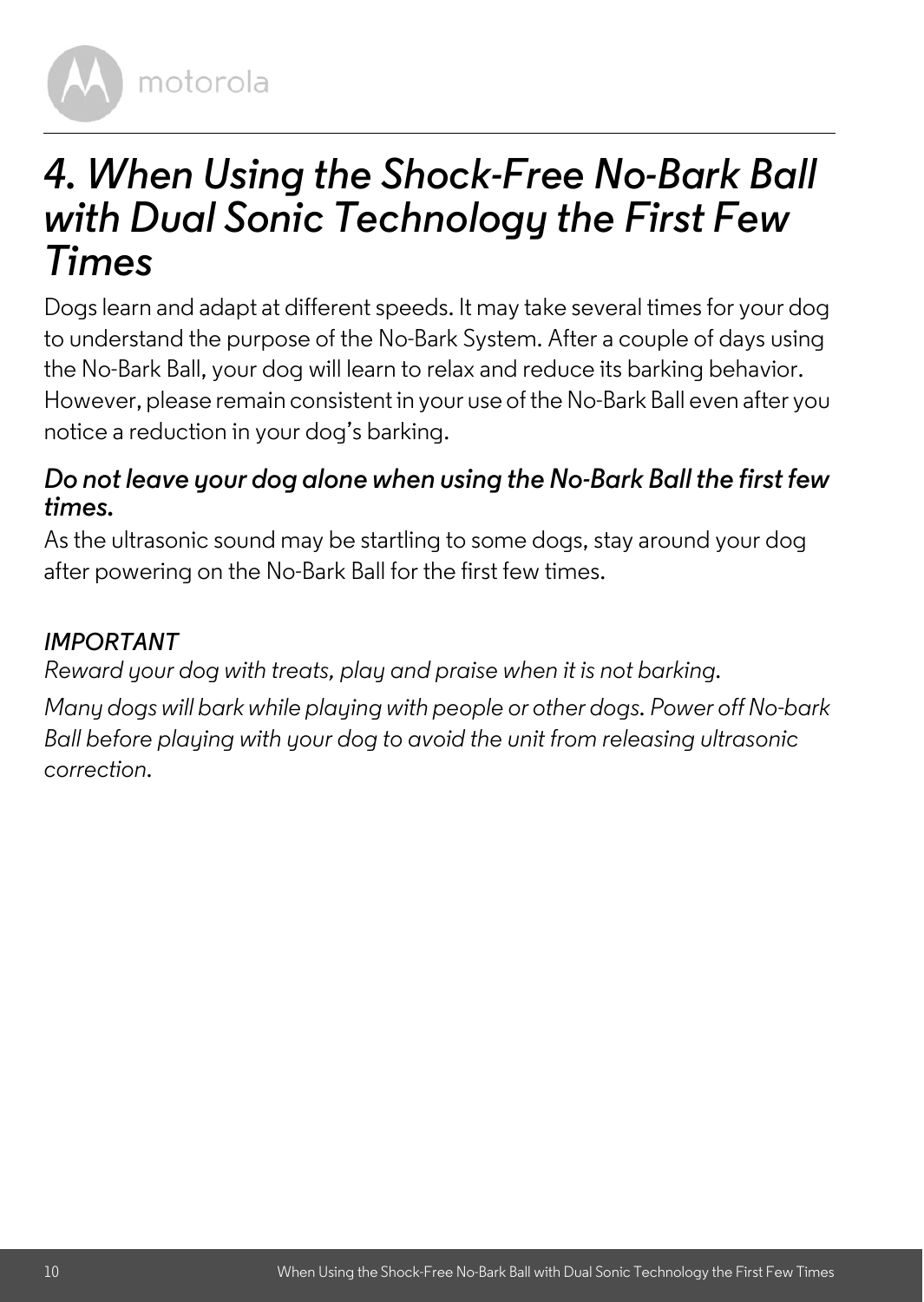

## <span id="page-9-0"></span>*4. When Using the Shock-Free No-Bark Ball with Dual Sonic Technology the First Few Times*

Dogs learn and adapt at different speeds. It may take several times for your dog to understand the purpose of the No-Bark System. After a couple of days using the No-Bark Ball, your dog will learn to relax and reduce its barking behavior. However, please remain consistent in your use of the No-Bark Ball even after you notice a reduction in your dog's barking.

### *Do not leave your dog alone when using the No-Bark Ball the first few times.*

As the ultrasonic sound may be startling to some dogs, stay around your dog after powering on the No-Bark Ball for the first few times.

### *IMPORTANT*

*Reward your dog with treats, play and praise when it is not barking.*

*Many dogs will bark while playing with people or other dogs. Power off No-bark Ball before playing with your dog to avoid the unit from releasing ultrasonic correction.*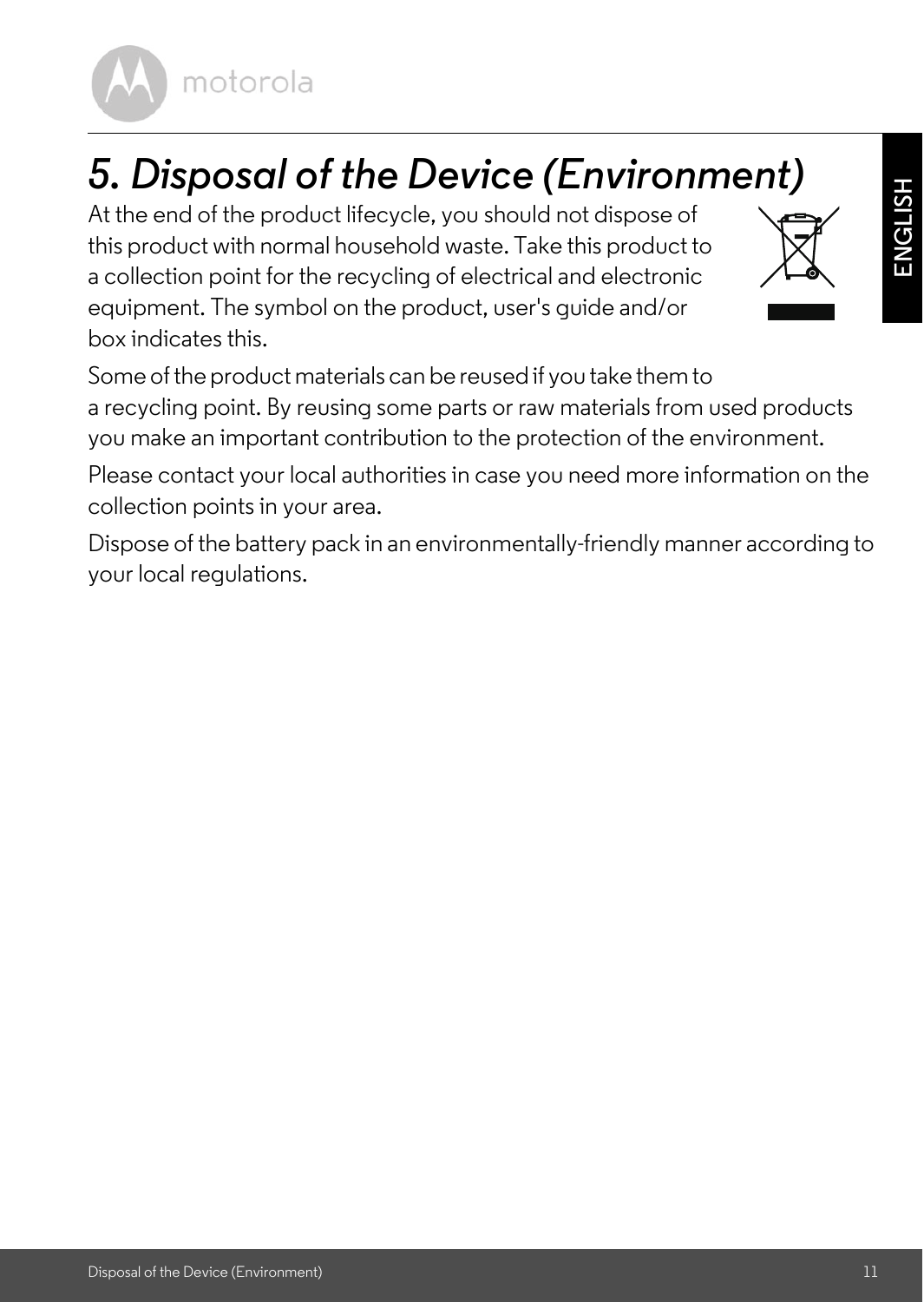motorola

# <span id="page-10-0"></span>*5. Disposal of the Device (Environment)*

At the end of the product lifecycle, you should not dispose of this product with normal household waste. Take this product to a collection point for the recycling of electrical and electronic equipment. The symbol on the product, user's guide and/or box indicates this.



**ENGLISH**

Some of the product materials can be reused if you take them to a recycling point. By reusing some parts or raw materials from used products you make an important contribution to the protection of the environment.

Please contact your local authorities in case you need more information on the collection points in your area.

Dispose of the battery pack in an environmentally-friendly manner according to your local regulations.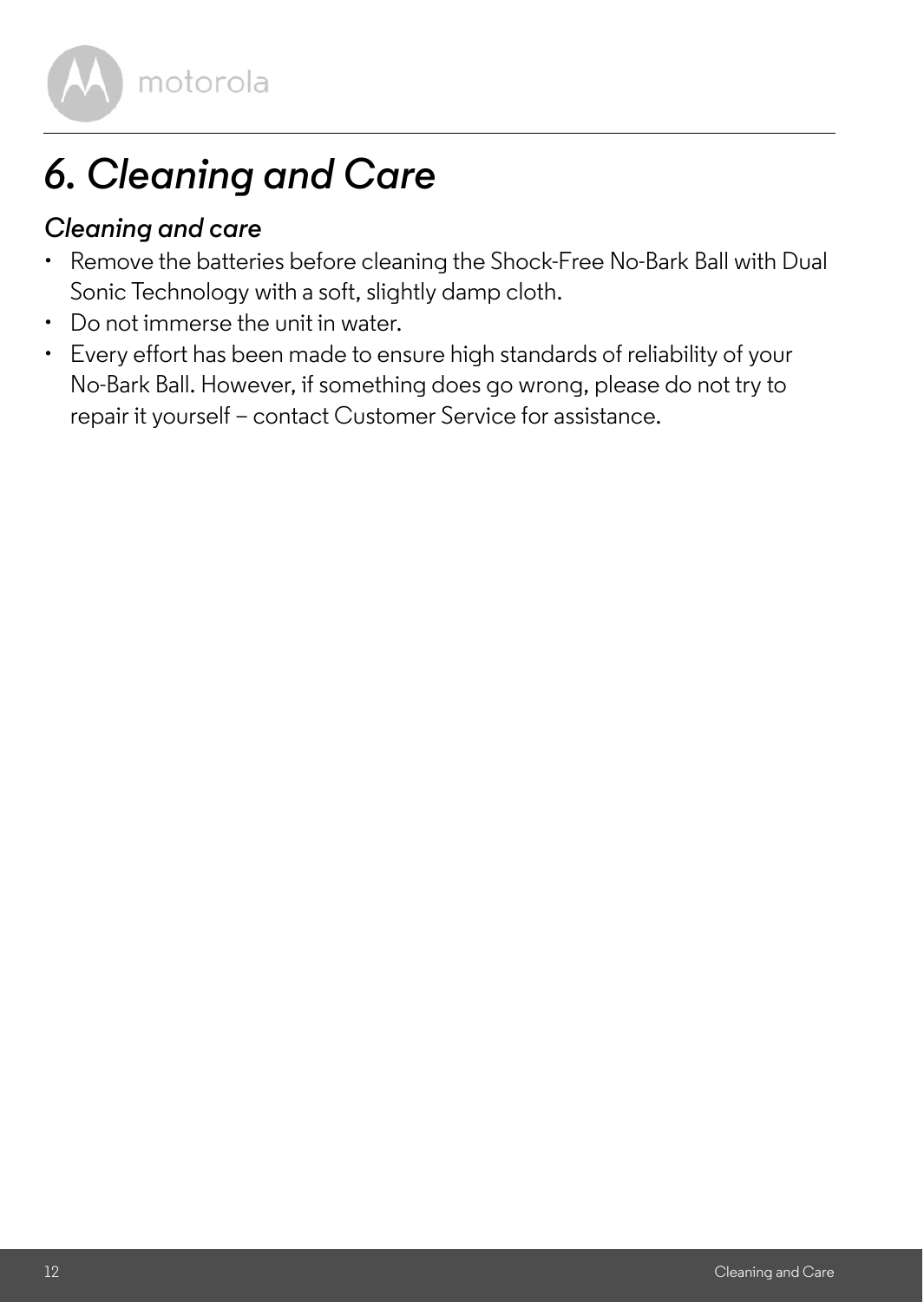

# <span id="page-11-0"></span>*6. Cleaning and Care*

### *Cleaning and care*

- Remove the batteries before cleaning the Shock-Free No-Bark Ball with Dual Sonic Technology with a soft, slightly damp cloth.
- Do not immerse the unit in water.
- Every effort has been made to ensure high standards of reliability of your No-Bark Ball. However, if something does go wrong, please do not try to repair it yourself – contact Customer Service for assistance.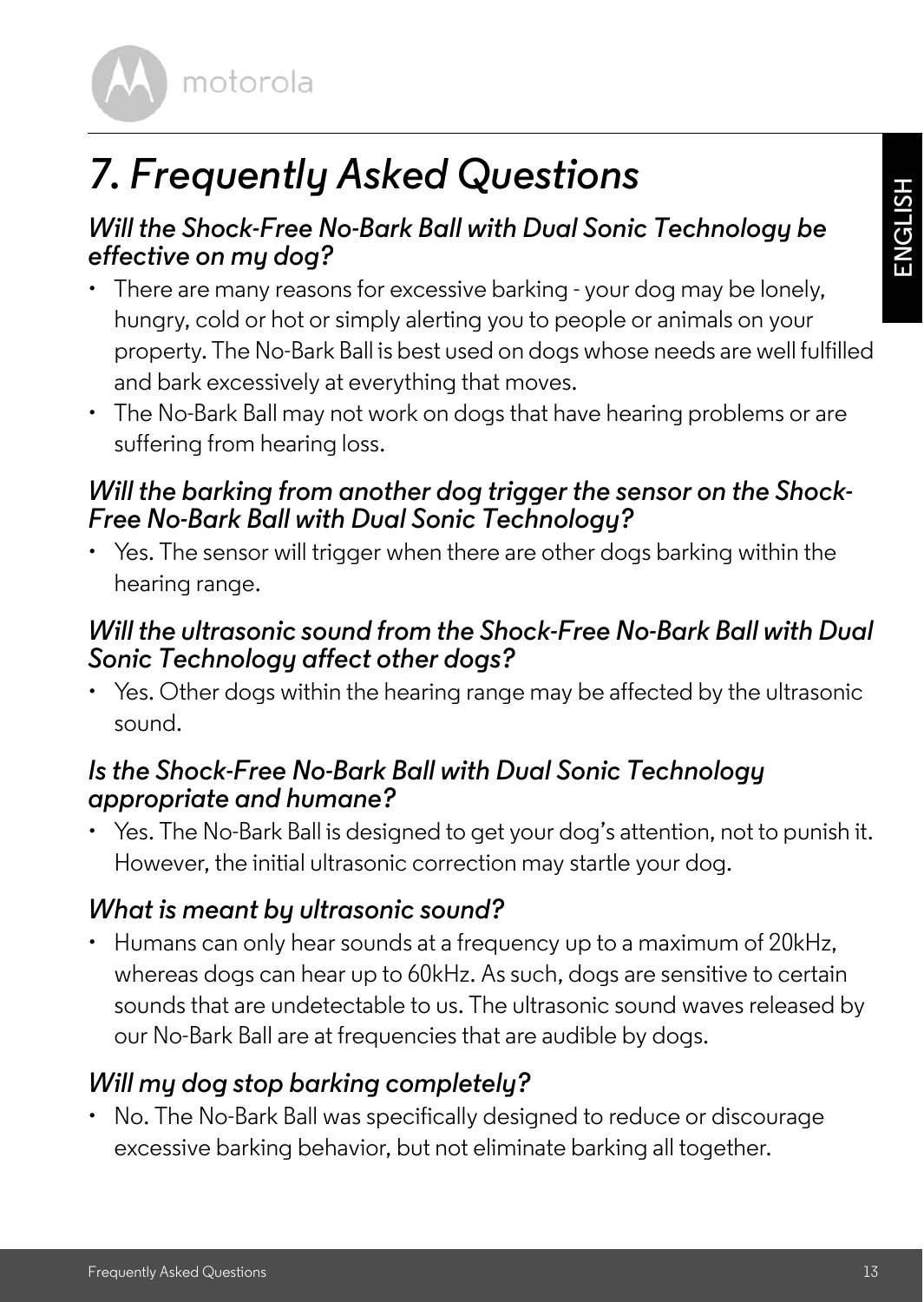**ENGLISH**

motorola

# <span id="page-12-0"></span>*7. Frequently Asked Questions*

### *Will the Shock-Free No-Bark Ball with Dual Sonic Technology be effective on my dog?*

- There are many reasons for excessive barking your dog may be lonely, hungry, cold or hot or simply alerting you to people or animals on your property. The No-Bark Ball is best used on dogs whose needs are well fulfilled and bark excessively at everything that moves.
- The No-Bark Ball may not work on dogs that have hearing problems or are suffering from hearing loss.

#### *Will the barking from another dog trigger the sensor on the Shock-Free No-Bark Ball with Dual Sonic Technology?*

• Yes. The sensor will trigger when there are other dogs barking within the hearing range.

### *Will the ultrasonic sound from the Shock-Free No-Bark Ball with Dual Sonic Technology affect other dogs?*

• Yes. Other dogs within the hearing range may be affected by the ultrasonic sound.

### *Is the Shock-Free No-Bark Ball with Dual Sonic Technology appropriate and humane?*

• Yes. The No-Bark Ball is designed to get your dog's attention, not to punish it. However, the initial ultrasonic correction may startle your dog.

#### *What is meant by ultrasonic sound?*

• Humans can only hear sounds at a frequency up to a maximum of 20kHz, whereas dogs can hear up to 60kHz. As such, dogs are sensitive to certain sounds that are undetectable to us. The ultrasonic sound waves released by our No-Bark Ball are at frequencies that are audible by dogs.

### *Will my dog stop barking completely?*

• No. The No-Bark Ball was specifically designed to reduce or discourage excessive barking behavior, but not eliminate barking all together.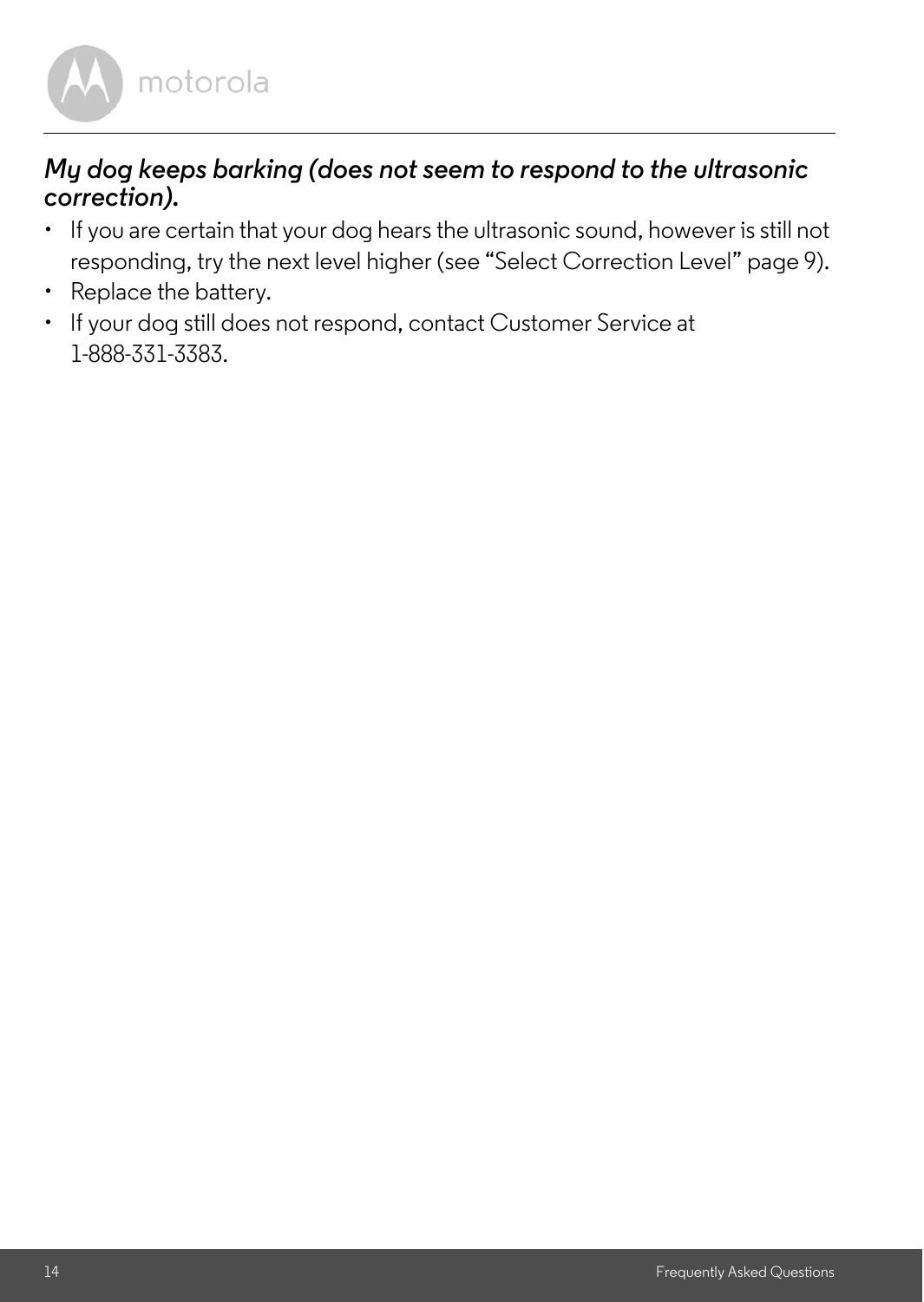

#### *My dog keeps barking (does not seem to respond to the ultrasonic correction).*

- If you are certain that your dog hears the ultrasonic sound, however is still not responding, try the next level higher ([see "Select Correction Level" page 9](#page-8-2)).
- Replace the battery.
- If your dog still does not respond, contact Customer Service at 1-888-331-3383.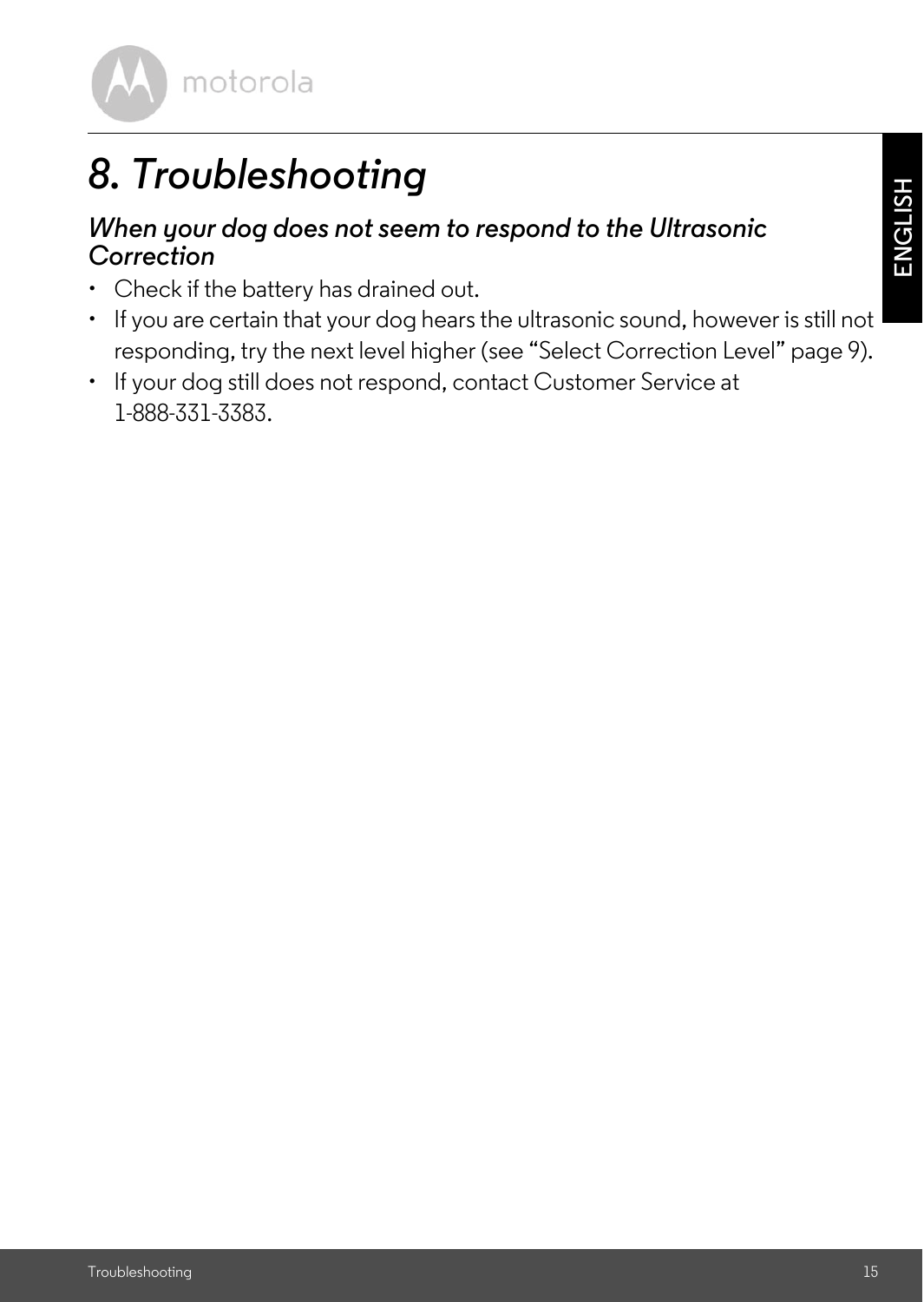

# <span id="page-14-0"></span>*8. Troubleshooting*

#### *When your dog does not seem to respond to the Ultrasonic Correction*

- Check if the battery has drained out.
- If you are certain that your dog hears the ultrasonic sound, however is still not responding, try the next level higher ([see "Select Correction Level" page 9\)](#page-8-2).
- If your dog still does not respond, contact Customer Service at 1-888-331-3383.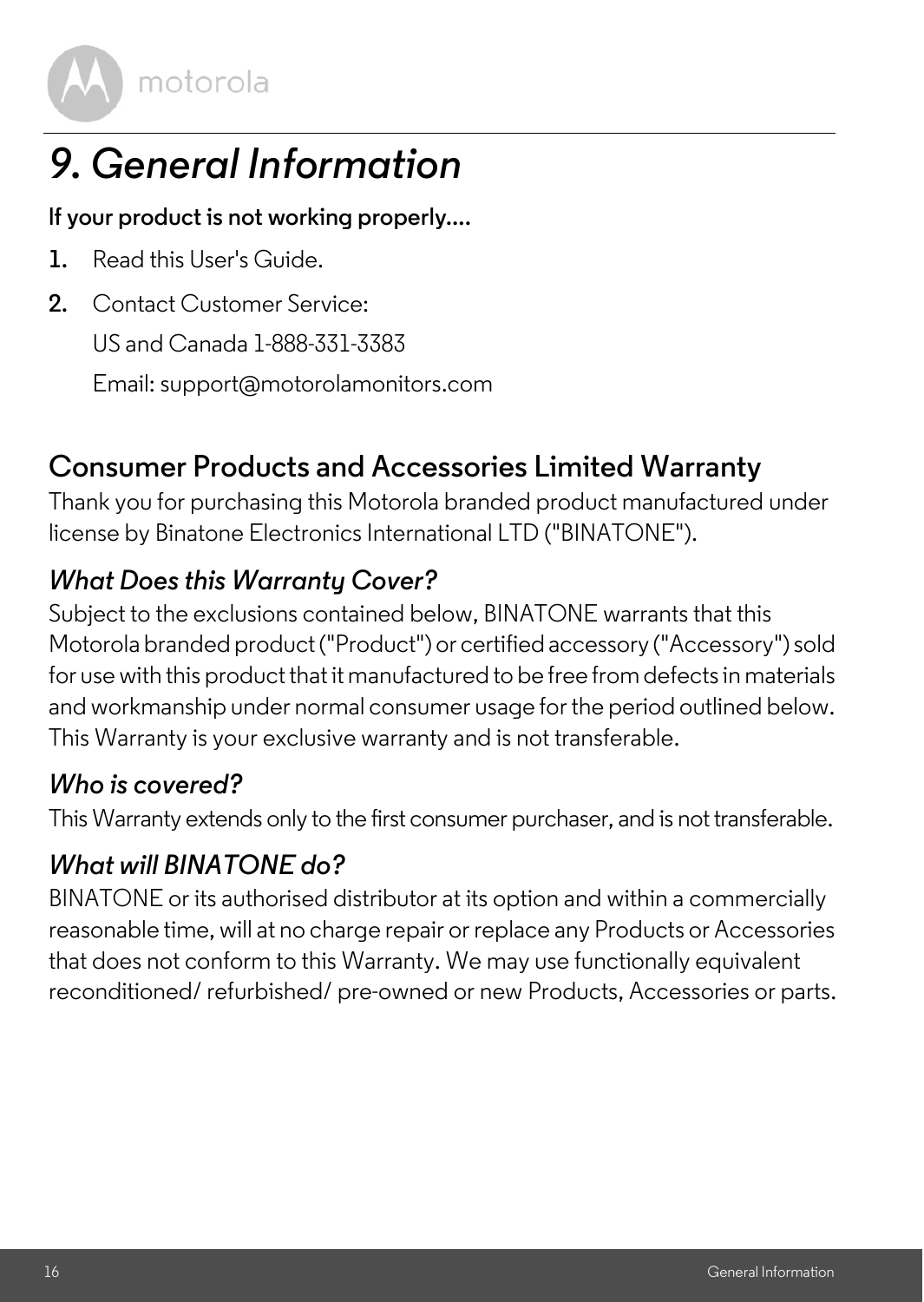

# <span id="page-15-0"></span>*9. General Information*

#### **lf your product is not working properly....**

- **1.** Read this User's Guide.
- **2.** Contact Customer Service:

US and Canada 1-888-331-3383

Email: support@motorolamonitors.com

### **Consumer Products and Accessories Limited Warranty**

Thank you for purchasing this Motorola branded product manufactured under license by Binatone Electronics International LTD ("BINATONE").

### *What Does this Warranty Cover?*

Subject to the exclusions contained below, BINATONE warrants that this Motorola branded product ("Product") or certified accessory ("Accessory") sold for use with this product that it manufactured to be free from defects in materials and workmanship under normal consumer usage for the period outlined below. This Warranty is your exclusive warranty and is not transferable.

### *Who is covered?*

This Warranty extends only to the first consumer purchaser, and is not transferable.

### *What will BINATONE do?*

BINATONE or its authorised distributor at its option and within a commercially reasonable time, will at no charge repair or replace any Products or Accessories that does not conform to this Warranty. We may use functionally equivalent reconditioned/ refurbished/ pre-owned or new Products, Accessories or parts.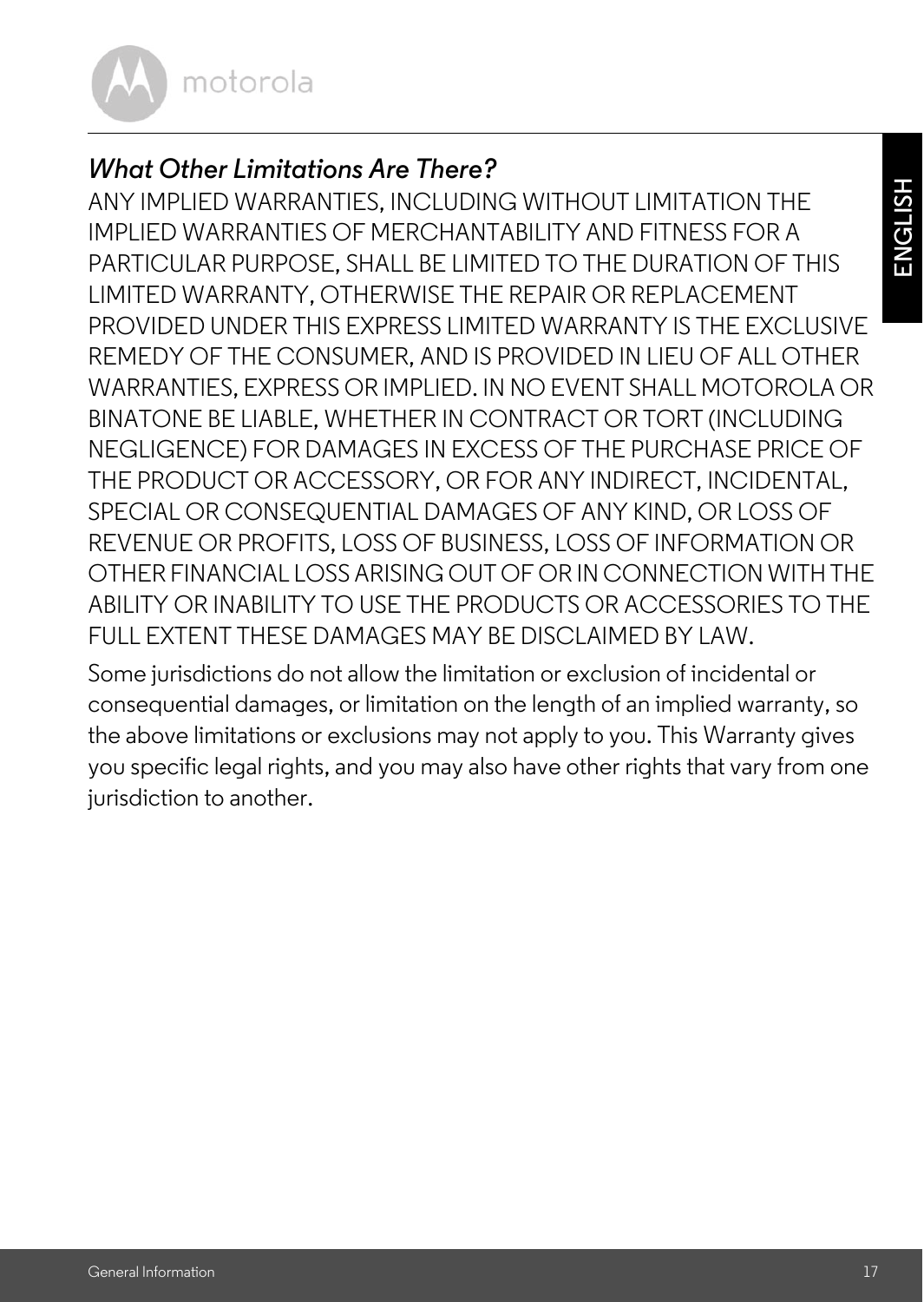

### *What Other Limitations Are There?*

ANY IMPLIED WARRANTIES, INCLUDING WITHOUT LIMITATION THE IMPLIED WARRANTIES OF MERCHANTABILITY AND FITNESS FOR A PARTICULAR PURPOSE, SHALL BE LIMITED TO THE DURATION OF THIS LIMITED WARRANTY, OTHERWISE THE REPAIR OR REPLACEMENT PROVIDED UNDER THIS EXPRESS LIMITED WARRANTY IS THE EXCLUSIVE REMEDY OF THE CONSUMER, AND IS PROVIDED IN LIEU OF ALL OTHER WARRANTIES, EXPRESS OR IMPLIED. IN NO EVENT SHALL MOTOROLA OR BINATONE BE LIABLE, WHETHER IN CONTRACT OR TORT (INCLUDING NEGLIGENCE) FOR DAMAGES IN EXCESS OF THE PURCHASE PRICE OF THE PRODUCT OR ACCESSORY, OR FOR ANY INDIRECT, INCIDENTAL, SPECIAL OR CONSEQUENTIAL DAMAGES OF ANY KIND, OR LOSS OF REVENUE OR PROFITS, LOSS OF BUSINESS, LOSS OF INFORMATION OR OTHER FINANCIAL LOSS ARISING OUT OF OR IN CONNECTION WITH THE ABILITY OR INABILITY TO USE THE PRODUCTS OR ACCESSORIES TO THE FULL EXTENT THESE DAMAGES MAY BE DISCLAIMED BY LAW.

Some jurisdictions do not allow the limitation or exclusion of incidental or consequential damages, or limitation on the length of an implied warranty, so the above limitations or exclusions may not apply to you. This Warranty gives you specific legal rights, and you may also have other rights that vary from one jurisdiction to another.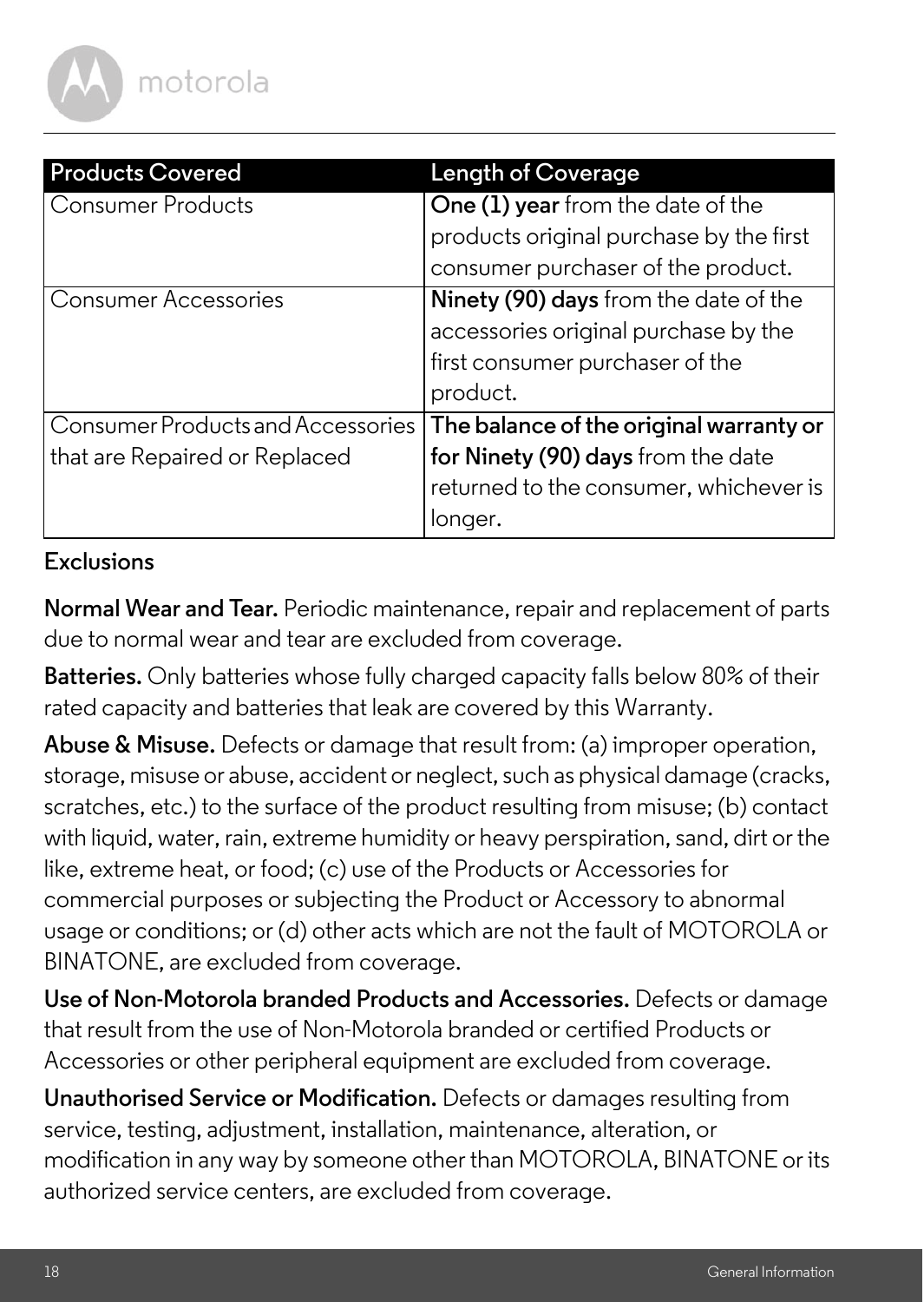

| <b>Products Covered</b>           | <b>Length of Coverage</b>                                                                                                    |
|-----------------------------------|------------------------------------------------------------------------------------------------------------------------------|
| Consumer Products                 | One (1) year from the date of the                                                                                            |
|                                   | products original purchase by the first                                                                                      |
|                                   | consumer purchaser of the product.                                                                                           |
| Consumer Accessories              | Ninety (90) days from the date of the<br>accessories original purchase by the<br>first consumer purchaser of the<br>product. |
| Consumer Products and Accessories | The balance of the original warranty or                                                                                      |
| that are Repaired or Replaced     | for Ninety (90) days from the date                                                                                           |
|                                   | returned to the consumer, whichever is                                                                                       |
|                                   | longer.                                                                                                                      |

#### **Exclusions**

**Normal Wear and Tear.** Periodic maintenance, repair and replacement of parts due to normal wear and tear are excluded from coverage.

**Batteries.** Only batteries whose fully charged capacity falls below 80% of their rated capacity and batteries that leak are covered by this Warranty.

**Abuse & Misuse.** Defects or damage that result from: (a) improper operation, storage, misuse or abuse, accident or neglect, such as physical damage (cracks, scratches, etc.) to the surface of the product resulting from misuse; (b) contact with liquid, water, rain, extreme humidity or heavy perspiration, sand, dirt or the like, extreme heat, or food; (c) use of the Products or Accessories for commercial purposes or subjecting the Product or Accessory to abnormal usage or conditions; or (d) other acts which are not the fault of MOTOROLA or BINATONE, are excluded from coverage.

**Use of Non-Motorola branded Products and Accessories.** Defects or damage that result from the use of Non-Motorola branded or certified Products or Accessories or other peripheral equipment are excluded from coverage.

**Unauthorised Service or Modification.** Defects or damages resulting from service, testing, adjustment, installation, maintenance, alteration, or modification in any way by someone other than MOTOROLA, BINATONE or its authorized service centers, are excluded from coverage.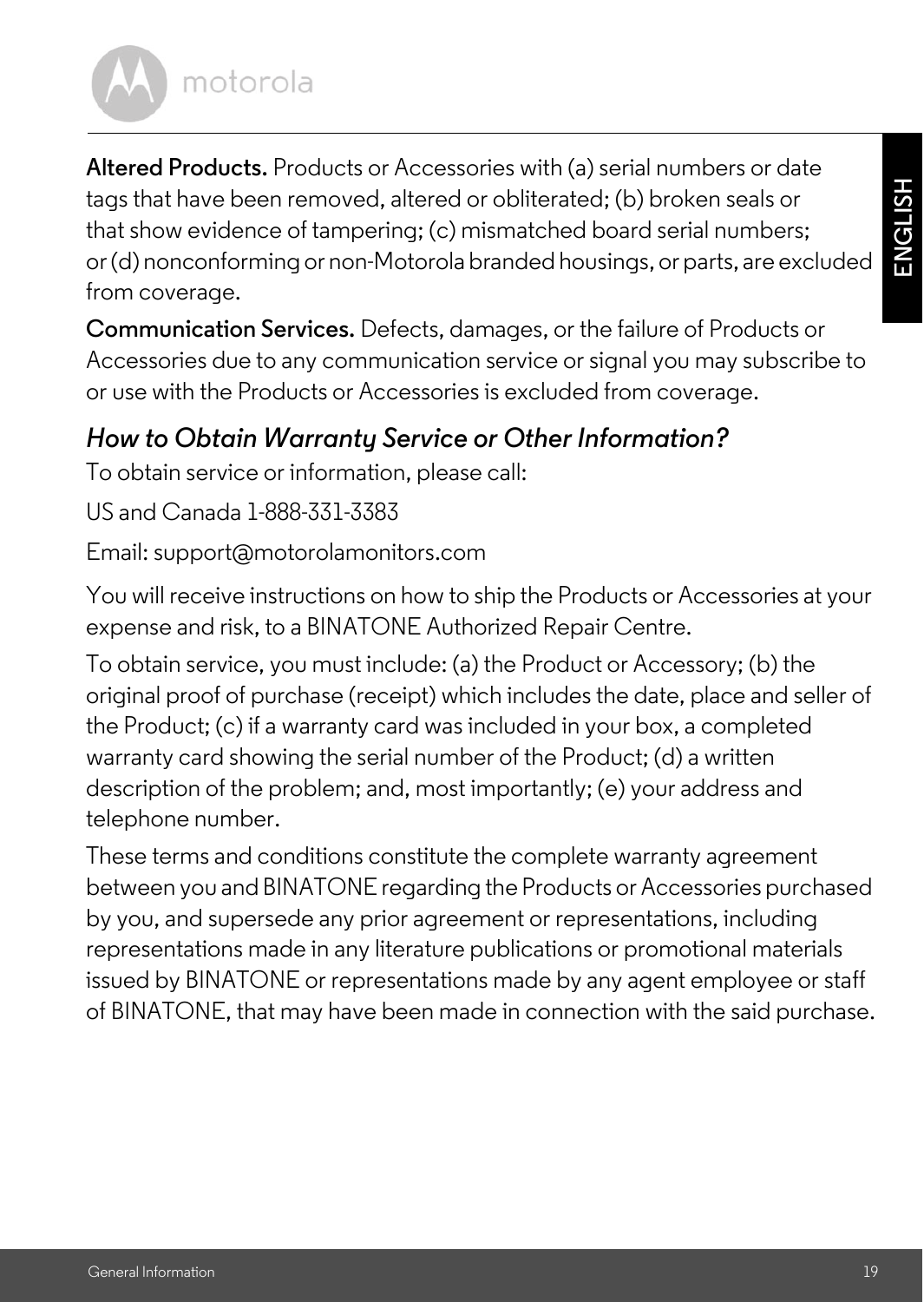**ENGLISH**

# motorola

**Altered Products.** Products or Accessories with (a) serial numbers or date tags that have been removed, altered or obliterated; (b) broken seals or that show evidence of tampering; (c) mismatched board serial numbers; or (d) nonconforming or non-Motorola branded housings, or parts, are excluded from coverage.

**Communication Services.** Defects, damages, or the failure of Products or Accessories due to any communication service or signal you may subscribe to or use with the Products or Accessories is excluded from coverage.

### *How to Obtain Warranty Service or Other Information?*

To obtain service or information, please call:

US and Canada 1-888-331-3383

Email: support@motorolamonitors.com

You will receive instructions on how to ship the Products or Accessories at your expense and risk, to a BINATONE Authorized Repair Centre.

To obtain service, you must include: (a) the Product or Accessory; (b) the original proof of purchase (receipt) which includes the date, place and seller of the Product; (c) if a warranty card was included in your box, a completed warranty card showing the serial number of the Product; (d) a written description of the problem; and, most importantly; (e) your address and telephone number.

These terms and conditions constitute the complete warranty agreement between you and BINATONE regarding the Products or Accessories purchased by you, and supersede any prior agreement or representations, including representations made in any literature publications or promotional materials issued by BINATONE or representations made by any agent employee or staff of BINATONE, that may have been made in connection with the said purchase.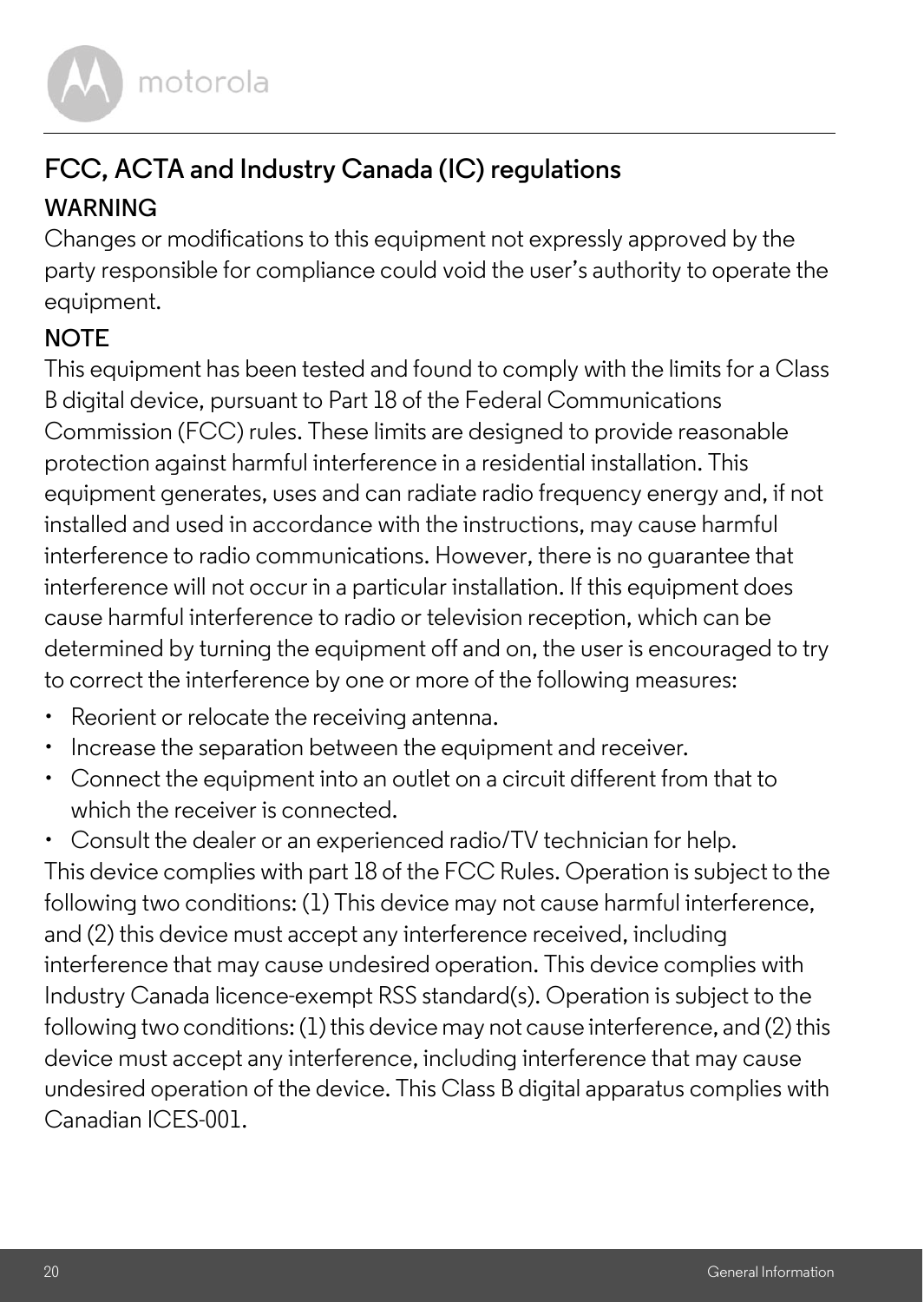

### **FCC, ACTA and Industry Canada (IC) regulations WARNING**

Changes or modifications to this equipment not expressly approved by the party responsible for compliance could void the user's authority to operate the equipment.

#### **NOTE**

This equipment has been tested and found to comply with the limits for a Class B digital device, pursuant to Part 18 of the Federal Communications Commission (FCC) rules. These limits are designed to provide reasonable protection against harmful interference in a residential installation. This equipment generates, uses and can radiate radio frequency energy and, if not installed and used in accordance with the instructions, may cause harmful interference to radio communications. However, there is no guarantee that interference will not occur in a particular installation. If this equipment does cause harmful interference to radio or television reception, which can be determined by turning the equipment off and on, the user is encouraged to try to correct the interference by one or more of the following measures:

- Reorient or relocate the receiving antenna.
- Increase the separation between the equipment and receiver.
- Connect the equipment into an outlet on a circuit different from that to which the receiver is connected.
- Consult the dealer or an experienced radio/TV technician for help.

This device complies with part 18 of the FCC Rules. Operation is subject to the following two conditions: (1) This device may not cause harmful interference, and (2) this device must accept any interference received, including interference that may cause undesired operation. This device complies with Industry Canada licence-exempt RSS standard(s). Operation is subject to the following two conditions: (1) this device may not cause interference, and (2) this device must accept any interference, including interference that may cause undesired operation of the device. This Class B digital apparatus complies with Canadian ICES-001.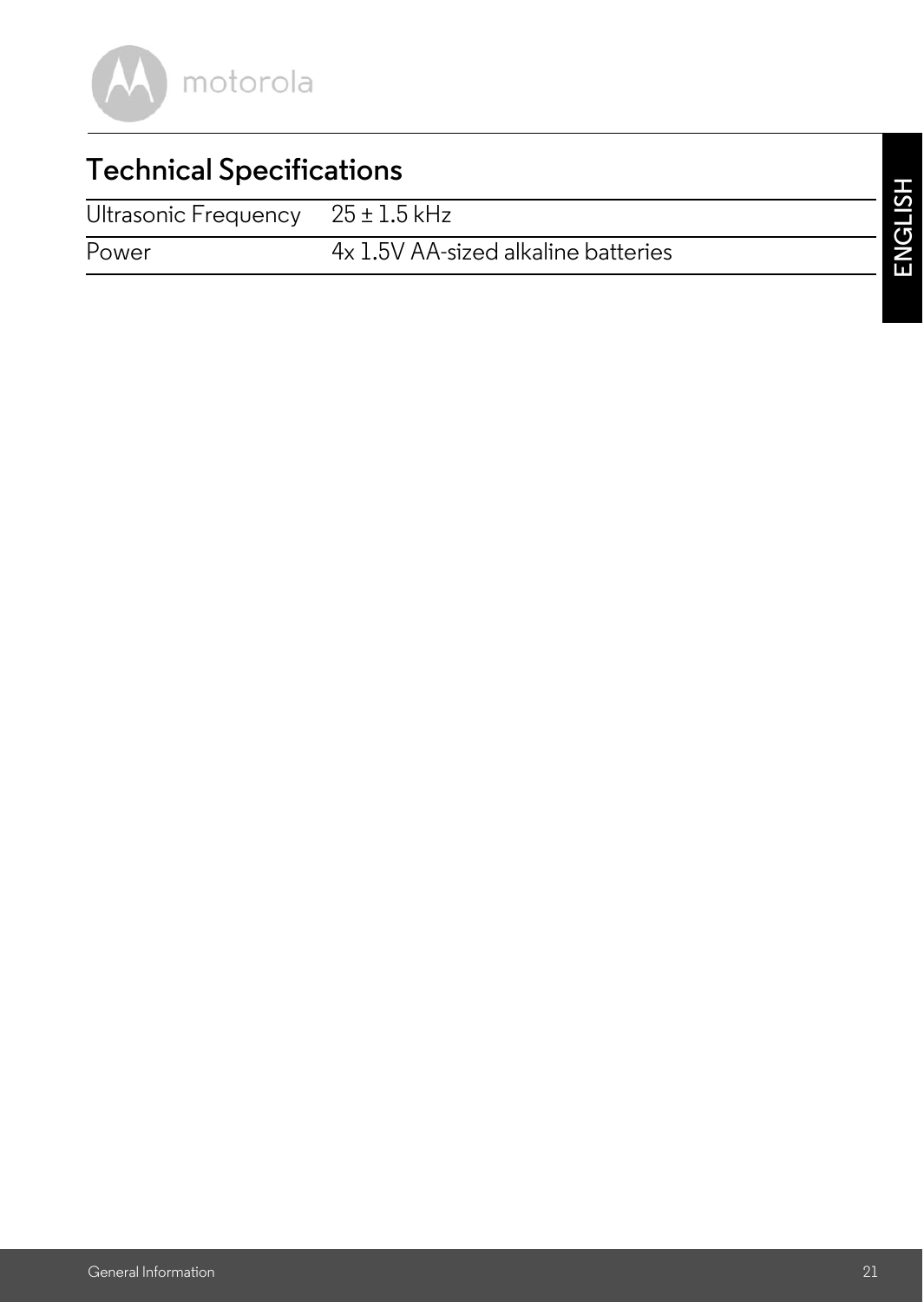

### **Technical Specifications**

Ultrasonic Frequency 25 ± 1.5 kHz

Power 4x 1.5V AA-sized alkaline batteries